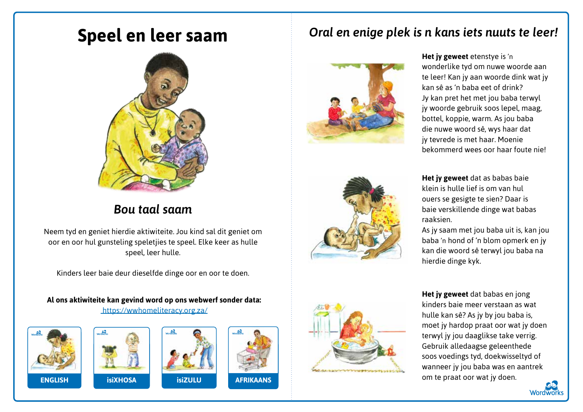## **Speel en leer saam**



## *Bou taal saam*

Neem tyd en geniet hierdie aktiwiteite. Jou kind sal dit geniet om oor en oor hul gunsteling speletjies te speel. Elke keer as hulle speel, leer hulle.

Kinders leer baie deur dieselfde dinge oor en oor te doen.

**Al ons aktiwiteite kan gevind word op ons webwerf sonder data:** https://wwhomeliteracy.org.za/









## *Oral en enige plek is n kans iets nuuts te leer!*







**Het jy geweet** dat as babas baie klein is hulle lief is om van hul ouers se gesigte te sien? Daar is baie verskillende dinge wat babas raaksien.

As jy saam met jou baba uit is, kan jou baba 'n hond of 'n blom opmerk en jy kan die woord sê terwyl jou baba na hierdie dinge kyk.

**Het jy geweet** dat babas en jong kinders baie meer verstaan as wat hulle kan sê? As jy by jou baba is, moet jy hardop praat oor wat jy doen terwyl jy jou daaglikse take verrig. Gebruik alledaagse geleenthede soos voedings tyd, doekwisseltyd of wanneer jy jou baba was en aantrek om te praat oor wat jy doen.